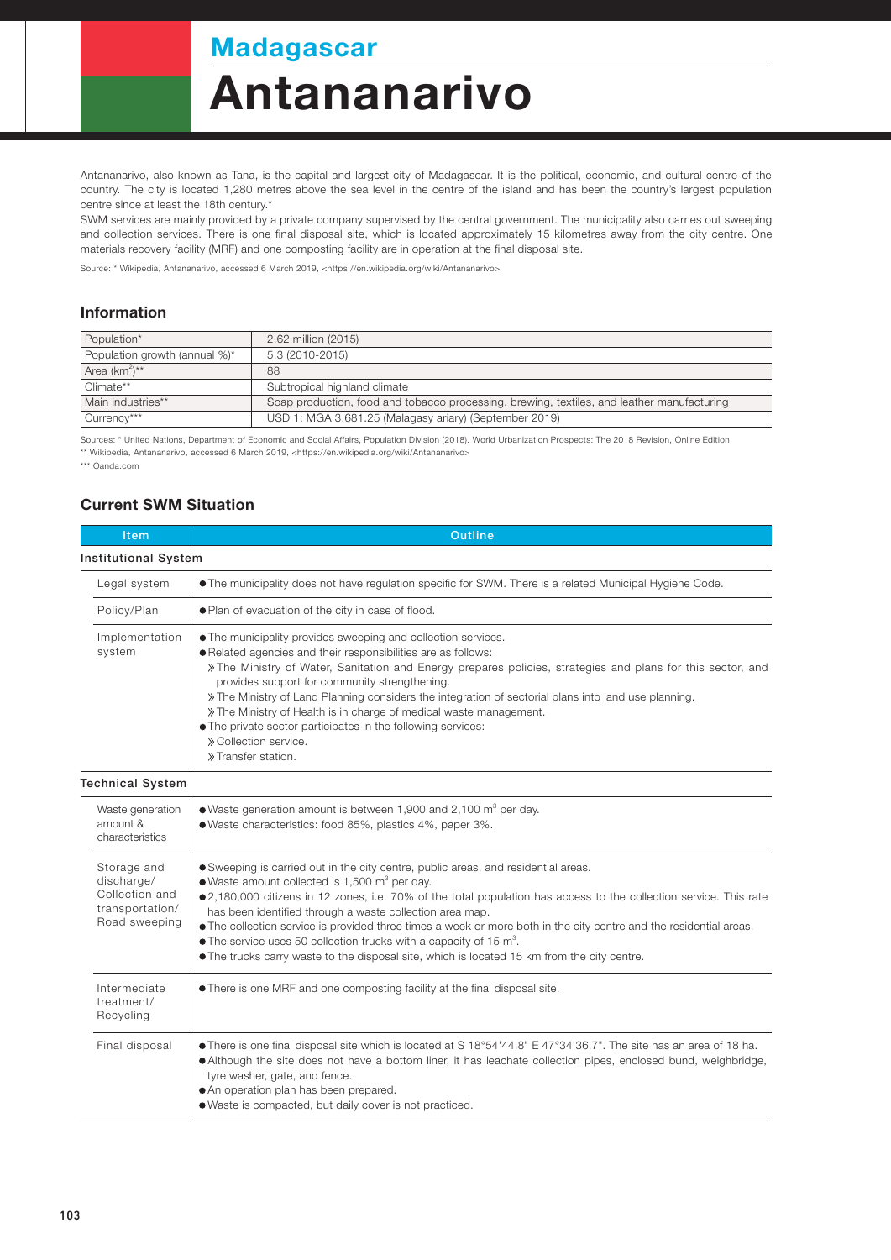## **Madagascar**

# **Antananarivo**

Antananarivo, also known as Tana, is the capital and largest city of Madagascar. It is the political, economic, and cultural centre of the country. The city is located 1,280 metres above the sea level in the centre of the island and has been the country's largest population centre since at least the 18th century.\*

SWM services are mainly provided by a private company supervised by the central government. The municipality also carries out sweeping and collection services. There is one final disposal site, which is located approximately 15 kilometres away from the city centre. One materials recovery facility (MRF) and one composting facility are in operation at the final disposal site.

Source: \* Wikipedia, Antananarivo, accessed 6 March 2019, <https://en.wikipedia.org/wiki/Antananarivo>

#### Information

| Population*                   | 2.62 million (2015)                                                                        |  |
|-------------------------------|--------------------------------------------------------------------------------------------|--|
| Population growth (annual %)* | 5.3 (2010-2015)                                                                            |  |
| Area $(km^2)^{**}$            | 88                                                                                         |  |
| Climate**                     | Subtropical highland climate                                                               |  |
| Main industries**             | Soap production, food and tobacco processing, brewing, textiles, and leather manufacturing |  |
| Currency***                   | USD 1: MGA 3,681.25 (Malagasy ariary) (September 2019)                                     |  |

Sources: \* United Nations, Department of Economic and Social Affairs, Population Division (2018). World Urbanization Prospects: The 2018 Revision, Online Edition. \*\* Wikipedia, Antananarivo, accessed 6 March 2019, <https://en.wikipedia.org/wiki/Antananarivo>

\*\*\* Oanda.com

#### Current SWM Situation

| Item                                                                            | <b>Outline</b>                                                                                                                                                                                                                                                                                                                                                                                                                                                                                                                                                                                                                                  |  |  |
|---------------------------------------------------------------------------------|-------------------------------------------------------------------------------------------------------------------------------------------------------------------------------------------------------------------------------------------------------------------------------------------------------------------------------------------------------------------------------------------------------------------------------------------------------------------------------------------------------------------------------------------------------------------------------------------------------------------------------------------------|--|--|
| <b>Institutional System</b>                                                     |                                                                                                                                                                                                                                                                                                                                                                                                                                                                                                                                                                                                                                                 |  |  |
| Legal system                                                                    | • The municipality does not have regulation specific for SWM. There is a related Municipal Hygiene Code.                                                                                                                                                                                                                                                                                                                                                                                                                                                                                                                                        |  |  |
| Policy/Plan                                                                     | . Plan of evacuation of the city in case of flood.                                                                                                                                                                                                                                                                                                                                                                                                                                                                                                                                                                                              |  |  |
| Implementation<br>system                                                        | • The municipality provides sweeping and collection services.<br>. Related agencies and their responsibilities are as follows:<br>» The Ministry of Water, Sanitation and Energy prepares policies, strategies and plans for this sector, and<br>provides support for community strengthening.<br>» The Ministry of Land Planning considers the integration of sectorial plans into land use planning.<br>» The Ministry of Health is in charge of medical waste management.<br>• The private sector participates in the following services:<br>» Collection service.<br>» Transfer station.                                                    |  |  |
| <b>Technical System</b>                                                         |                                                                                                                                                                                                                                                                                                                                                                                                                                                                                                                                                                                                                                                 |  |  |
| Waste generation<br>amount &<br>characteristics                                 | • Waste generation amount is between 1,900 and 2,100 $m^3$ per day.<br>· Waste characteristics: food 85%, plastics 4%, paper 3%.                                                                                                                                                                                                                                                                                                                                                                                                                                                                                                                |  |  |
| Storage and<br>discharge/<br>Collection and<br>transportation/<br>Road sweeping | • Sweeping is carried out in the city centre, public areas, and residential areas.<br>• Waste amount collected is 1,500 m <sup>3</sup> per day.<br>●2,180,000 citizens in 12 zones, i.e. 70% of the total population has access to the collection service. This rate<br>has been identified through a waste collection area map.<br>• The collection service is provided three times a week or more both in the city centre and the residential areas.<br>$\bullet$ The service uses 50 collection trucks with a capacity of 15 m <sup>3</sup> .<br>• The trucks carry waste to the disposal site, which is located 15 km from the city centre. |  |  |
| Intermediate<br>treatment/<br>Recycling                                         | • There is one MRF and one composting facility at the final disposal site.                                                                                                                                                                                                                                                                                                                                                                                                                                                                                                                                                                      |  |  |
| Final disposal                                                                  | • There is one final disposal site which is located at S 18°54'44.8" E 47°34'36.7". The site has an area of 18 ha.<br>• Although the site does not have a bottom liner, it has leachate collection pipes, enclosed bund, weighbridge,<br>tyre washer, gate, and fence.<br>• An operation plan has been prepared.<br>. Waste is compacted, but daily cover is not practiced.                                                                                                                                                                                                                                                                     |  |  |